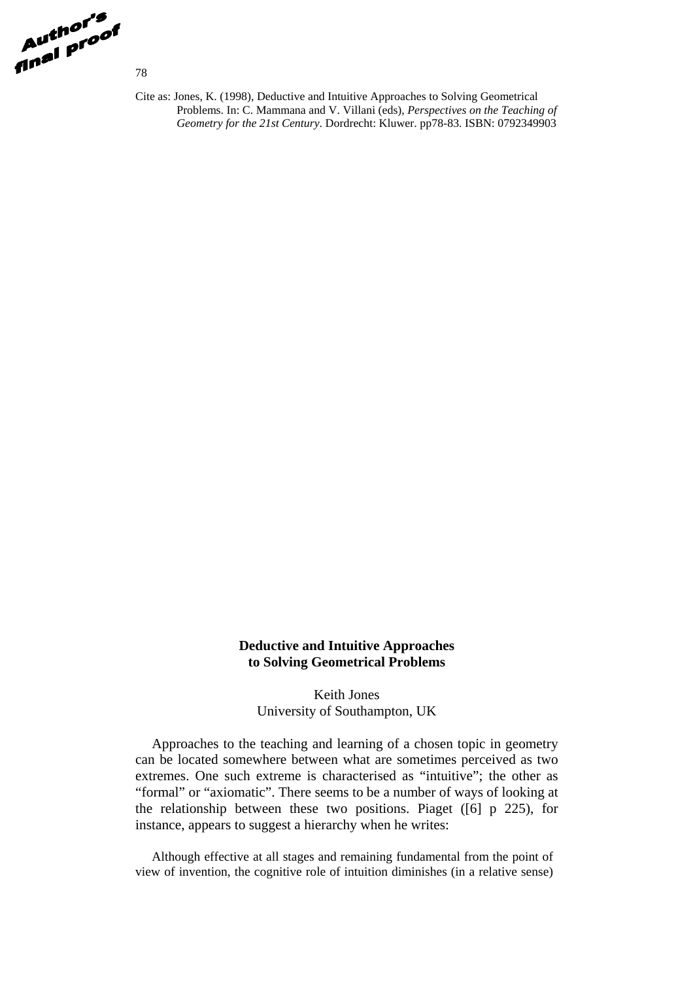Author's Author's<br>final proof

78

Cite as: Jones, K. (1998), Deductive and Intuitive Approaches to Solving Geometrical Problems. In: C. Mammana and V. Villani (eds), *Perspectives on the Teaching of Geometry for the 21st Century*. Dordrecht: Kluwer. pp78-83. ISBN: 0792349903

## **Deductive and Intuitive Approaches to Solving Geometrical Problems**

# Keith Jones University of Southampton, UK

Approaches to the teaching and learning of a chosen topic in geometry can be located somewhere between what are sometimes perceived as two extremes. One such extreme is characterised as "intuitive"; the other as "formal" or "axiomatic". There seems to be a number of ways of looking at the relationship between these two positions. Piaget ([6] p 225), for instance, appears to suggest a hierarchy when he writes:

Although effective at all stages and remaining fundamental from the point of view of invention, the cognitive role of intuition diminishes (in a relative sense)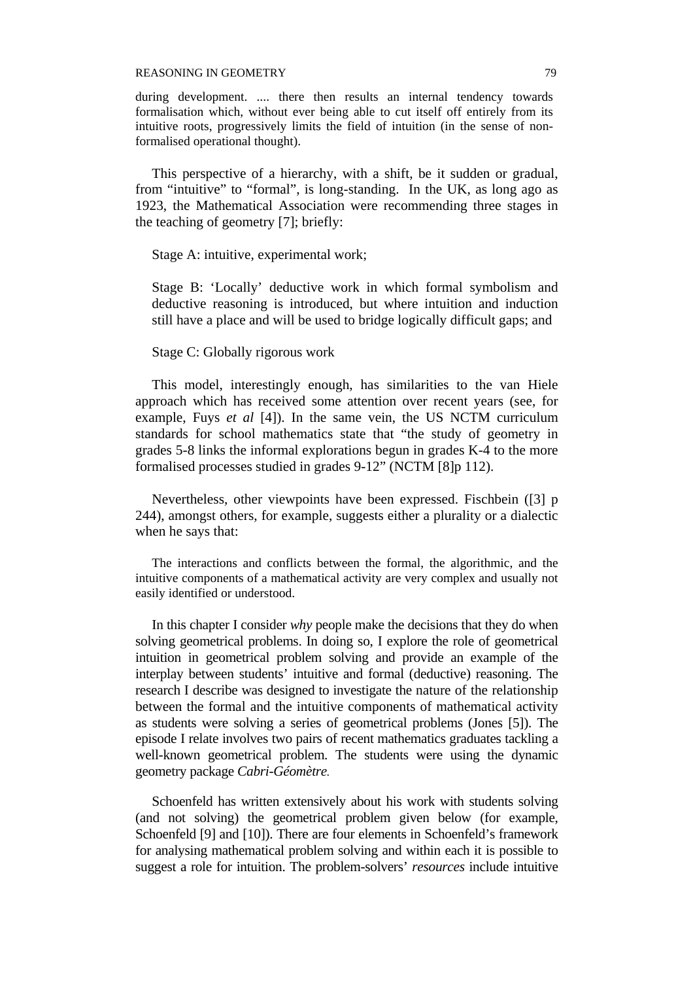#### REASONING IN GEOMETRY 79

during development. .... there then results an internal tendency towards formalisation which, without ever being able to cut itself off entirely from its intuitive roots, progressively limits the field of intuition (in the sense of nonformalised operational thought).

This perspective of a hierarchy, with a shift, be it sudden or gradual, from "intuitive" to "formal", is long-standing. In the UK, as long ago as 1923, the Mathematical Association were recommending three stages in the teaching of geometry [7]; briefly:

#### Stage A: intuitive, experimental work;

Stage B: 'Locally' deductive work in which formal symbolism and deductive reasoning is introduced, but where intuition and induction still have a place and will be used to bridge logically difficult gaps; and

### Stage C: Globally rigorous work

This model, interestingly enough, has similarities to the van Hiele approach which has received some attention over recent years (see, for example, Fuys *et al* [4]). In the same vein, the US NCTM curriculum standards for school mathematics state that "the study of geometry in grades 5-8 links the informal explorations begun in grades K-4 to the more formalised processes studied in grades 9-12" (NCTM [8]p 112).

Nevertheless, other viewpoints have been expressed. Fischbein ([3] p 244), amongst others, for example, suggests either a plurality or a dialectic when he says that:

The interactions and conflicts between the formal, the algorithmic, and the intuitive components of a mathematical activity are very complex and usually not easily identified or understood.

In this chapter I consider *why* people make the decisions that they do when solving geometrical problems. In doing so, I explore the role of geometrical intuition in geometrical problem solving and provide an example of the interplay between students' intuitive and formal (deductive) reasoning. The research I describe was designed to investigate the nature of the relationship between the formal and the intuitive components of mathematical activity as students were solving a series of geometrical problems (Jones [5]). The episode I relate involves two pairs of recent mathematics graduates tackling a well-known geometrical problem. The students were using the dynamic geometry package *Cabri-Géomètre.* 

Schoenfeld has written extensively about his work with students solving (and not solving) the geometrical problem given below (for example, Schoenfeld [9] and [10]). There are four elements in Schoenfeld's framework for analysing mathematical problem solving and within each it is possible to suggest a role for intuition. The problem-solvers' *resources* include intuitive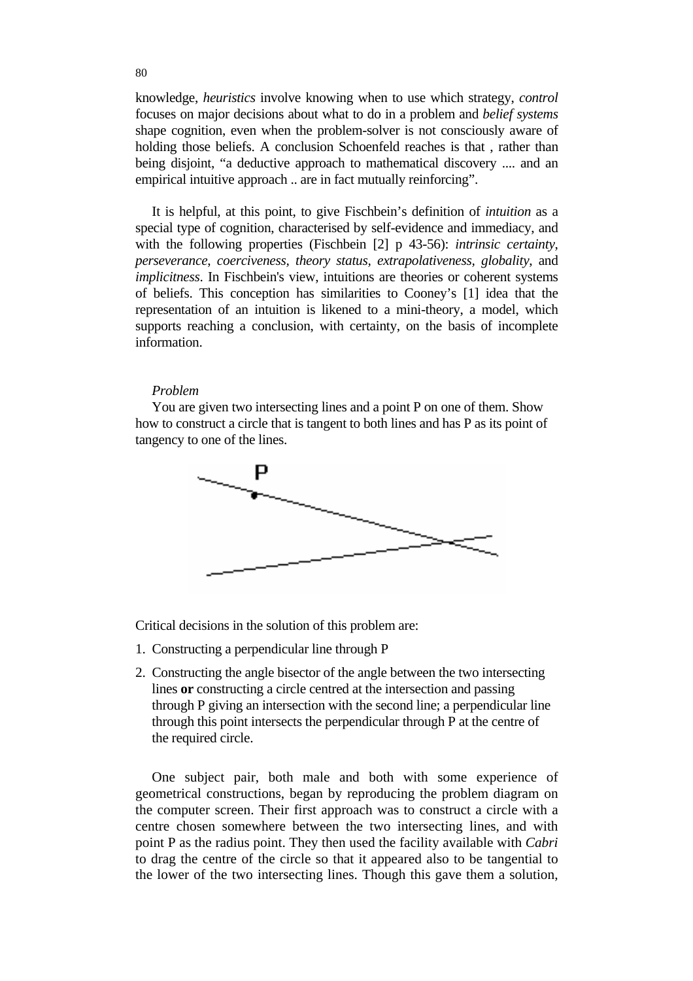knowledge, *heuristics* involve knowing when to use which strategy, *control* focuses on major decisions about what to do in a problem and *belief systems* shape cognition, even when the problem-solver is not consciously aware of holding those beliefs. A conclusion Schoenfeld reaches is that , rather than being disjoint, "a deductive approach to mathematical discovery .... and an empirical intuitive approach .. are in fact mutually reinforcing".

It is helpful, at this point, to give Fischbein's definition of *intuition* as a special type of cognition, characterised by self-evidence and immediacy, and with the following properties (Fischbein [2] p 43-56): *intrinsic certainty*, *perseverance*, *coerciveness, theory status, extrapolativeness, globality*, and *implicitness*. In Fischbein's view, intuitions are theories or coherent systems of beliefs. This conception has similarities to Cooney's [1] idea that the representation of an intuition is likened to a mini-theory, a model, which supports reaching a conclusion, with certainty, on the basis of incomplete information.

#### *Problem*

You are given two intersecting lines and a point P on one of them. Show how to construct a circle that is tangent to both lines and has P as its point of tangency to one of the lines.



Critical decisions in the solution of this problem are:

- 1. Constructing a perpendicular line through P
- 2. Constructing the angle bisector of the angle between the two intersecting lines **or** constructing a circle centred at the intersection and passing through P giving an intersection with the second line; a perpendicular line through this point intersects the perpendicular through P at the centre of the required circle.

One subject pair, both male and both with some experience of geometrical constructions, began by reproducing the problem diagram on the computer screen. Their first approach was to construct a circle with a centre chosen somewhere between the two intersecting lines, and with point P as the radius point. They then used the facility available with *Cabri* to drag the centre of the circle so that it appeared also to be tangential to the lower of the two intersecting lines. Though this gave them a solution,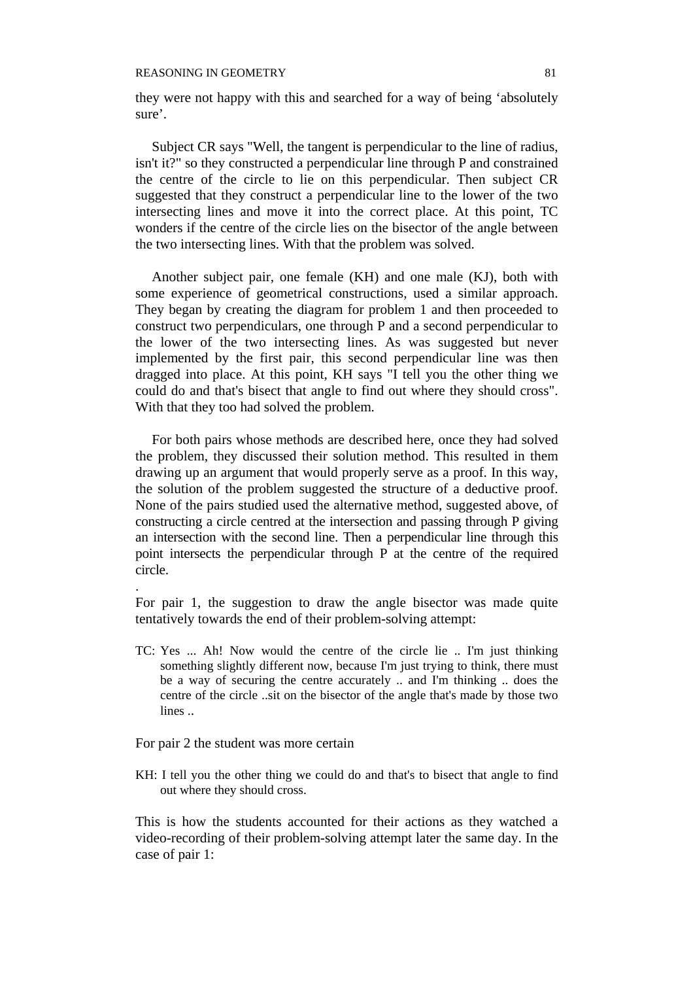they were not happy with this and searched for a way of being 'absolutely sure'.

Subject CR says "Well, the tangent is perpendicular to the line of radius, isn't it?" so they constructed a perpendicular line through P and constrained the centre of the circle to lie on this perpendicular. Then subject CR suggested that they construct a perpendicular line to the lower of the two intersecting lines and move it into the correct place. At this point, TC wonders if the centre of the circle lies on the bisector of the angle between the two intersecting lines. With that the problem was solved.

Another subject pair, one female (KH) and one male (KJ), both with some experience of geometrical constructions, used a similar approach. They began by creating the diagram for problem 1 and then proceeded to construct two perpendiculars, one through P and a second perpendicular to the lower of the two intersecting lines. As was suggested but never implemented by the first pair, this second perpendicular line was then dragged into place. At this point, KH says "I tell you the other thing we could do and that's bisect that angle to find out where they should cross". With that they too had solved the problem.

For both pairs whose methods are described here, once they had solved the problem, they discussed their solution method. This resulted in them drawing up an argument that would properly serve as a proof. In this way, the solution of the problem suggested the structure of a deductive proof. None of the pairs studied used the alternative method, suggested above, of constructing a circle centred at the intersection and passing through P giving an intersection with the second line. Then a perpendicular line through this point intersects the perpendicular through P at the centre of the required circle.

For pair 1, the suggestion to draw the angle bisector was made quite tentatively towards the end of their problem-solving attempt:

- TC: Yes ... Ah! Now would the centre of the circle lie .. I'm just thinking something slightly different now, because I'm just trying to think, there must be a way of securing the centre accurately .. and I'm thinking .. does the centre of the circle ..sit on the bisector of the angle that's made by those two lines ..
- For pair 2 the student was more certain

.

KH: I tell you the other thing we could do and that's to bisect that angle to find out where they should cross.

This is how the students accounted for their actions as they watched a video-recording of their problem-solving attempt later the same day. In the case of pair 1: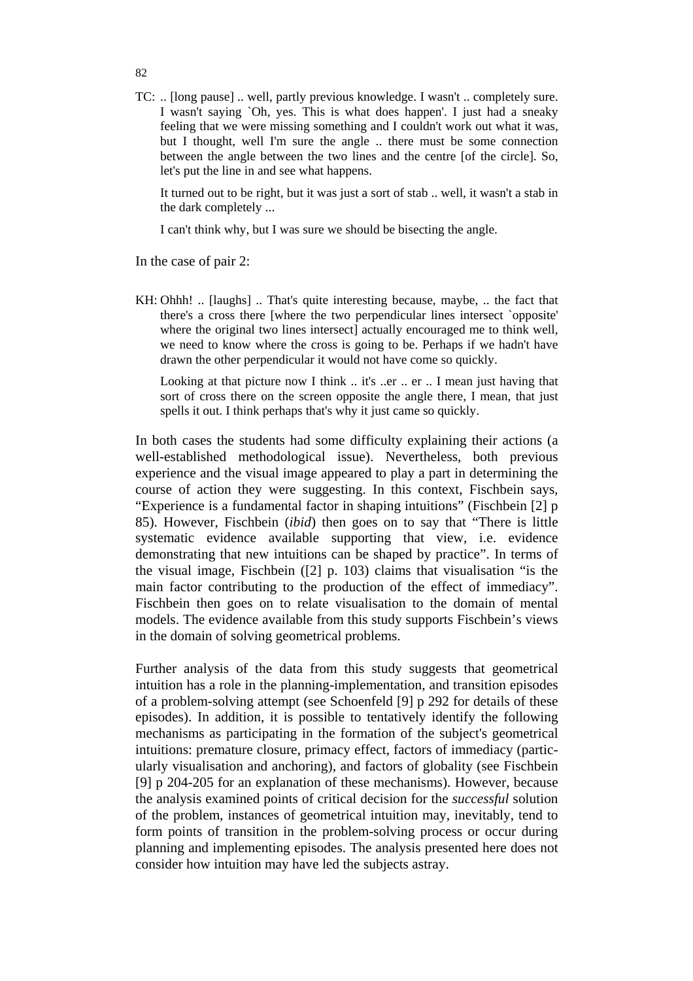TC: .. [long pause] .. well, partly previous knowledge. I wasn't .. completely sure. I wasn't saying `Oh, yes. This is what does happen'. I just had a sneaky feeling that we were missing something and I couldn't work out what it was, but I thought, well I'm sure the angle .. there must be some connection between the angle between the two lines and the centre [of the circle]. So, let's put the line in and see what happens.

 It turned out to be right, but it was just a sort of stab .. well, it wasn't a stab in the dark completely ...

I can't think why, but I was sure we should be bisecting the angle.

In the case of pair 2:

KH: Ohhh! .. [laughs] .. That's quite interesting because, maybe, .. the fact that there's a cross there [where the two perpendicular lines intersect `opposite' where the original two lines intersect actually encouraged me to think well. we need to know where the cross is going to be. Perhaps if we hadn't have drawn the other perpendicular it would not have come so quickly.

Looking at that picture now I think .. it's ..er .. er .. I mean just having that sort of cross there on the screen opposite the angle there, I mean, that just spells it out. I think perhaps that's why it just came so quickly.

In both cases the students had some difficulty explaining their actions (a well-established methodological issue). Nevertheless, both previous experience and the visual image appeared to play a part in determining the course of action they were suggesting. In this context, Fischbein says, "Experience is a fundamental factor in shaping intuitions" (Fischbein [2] p 85). However, Fischbein (*ibid*) then goes on to say that "There is little systematic evidence available supporting that view, i.e. evidence demonstrating that new intuitions can be shaped by practice". In terms of the visual image, Fischbein ([2] p. 103) claims that visualisation "is the main factor contributing to the production of the effect of immediacy". Fischbein then goes on to relate visualisation to the domain of mental models. The evidence available from this study supports Fischbein's views in the domain of solving geometrical problems.

Further analysis of the data from this study suggests that geometrical intuition has a role in the planning-implementation, and transition episodes of a problem-solving attempt (see Schoenfeld [9] p 292 for details of these episodes). In addition, it is possible to tentatively identify the following mechanisms as participating in the formation of the subject's geometrical intuitions: premature closure, primacy effect, factors of immediacy (particularly visualisation and anchoring), and factors of globality (see Fischbein [9] p 204-205 for an explanation of these mechanisms). However, because the analysis examined points of critical decision for the *successful* solution of the problem, instances of geometrical intuition may, inevitably, tend to form points of transition in the problem-solving process or occur during planning and implementing episodes. The analysis presented here does not consider how intuition may have led the subjects astray.

82